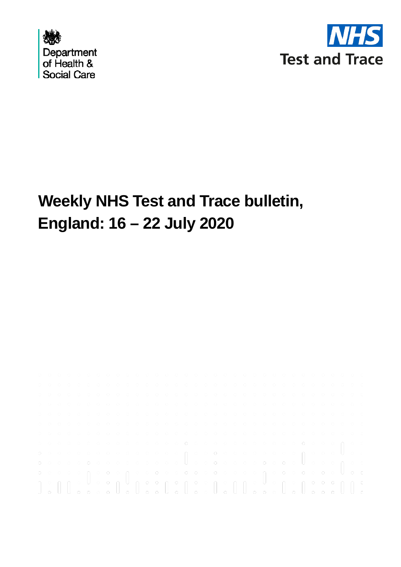



# **Weekly NHS Test and Trace bulletin, England: 16 – 22 July 2020**

|  |  |  |  |  | ${\color{red} 0~\color{black} 0~\color{black} 0~\color{black} 0~\color{black} 0~\color{black} 0~\color{black} 0~\color{black} 0~\color{black} 0~\color{black} 0~\color{black} 0~\color{black} 0~\color{black} 0~\color{black} 0~\color{black} 0~\color{black} 0~\color{black} 0~\color{black} 0~\color{black} 0~\color{black} 0~\color{black} 0~\color{black} 0~\color{black} 0~\color{black} 0~\color{black} 0~\color{black} 0~\color{black} 0~\color{black$ |  |  |  |  |  |  |  |  |  |  |  |  |
|--|--|--|--|--|---------------------------------------------------------------------------------------------------------------------------------------------------------------------------------------------------------------------------------------------------------------------------------------------------------------------------------------------------------------------------------------------------------------------------------------------------------------|--|--|--|--|--|--|--|--|--|--|--|--|
|  |  |  |  |  |                                                                                                                                                                                                                                                                                                                                                                                                                                                               |  |  |  |  |  |  |  |  |  |  |  |  |
|  |  |  |  |  |                                                                                                                                                                                                                                                                                                                                                                                                                                                               |  |  |  |  |  |  |  |  |  |  |  |  |
|  |  |  |  |  |                                                                                                                                                                                                                                                                                                                                                                                                                                                               |  |  |  |  |  |  |  |  |  |  |  |  |
|  |  |  |  |  |                                                                                                                                                                                                                                                                                                                                                                                                                                                               |  |  |  |  |  |  |  |  |  |  |  |  |
|  |  |  |  |  |                                                                                                                                                                                                                                                                                                                                                                                                                                                               |  |  |  |  |  |  |  |  |  |  |  |  |
|  |  |  |  |  |                                                                                                                                                                                                                                                                                                                                                                                                                                                               |  |  |  |  |  |  |  |  |  |  |  |  |
|  |  |  |  |  |                                                                                                                                                                                                                                                                                                                                                                                                                                                               |  |  |  |  |  |  |  |  |  |  |  |  |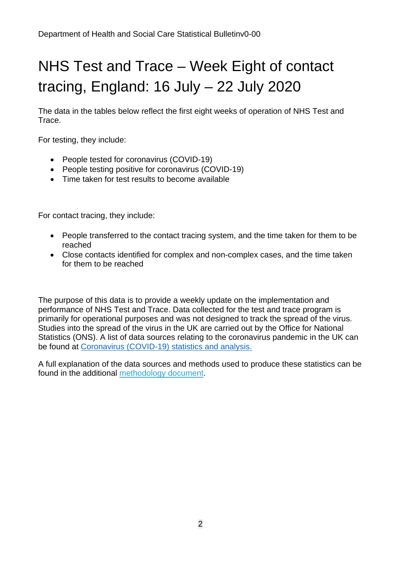# NHS Test and Trace – Week Eight of contact tracing, England: 16 July – 22 July 2020

The data in the tables below reflect the first eight weeks of operation of NHS Test and Trace.

For testing, they include:

- People tested for coronavirus (COVID-19)
- People testing positive for coronavirus (COVID-19)
- Time taken for test results to become available

For contact tracing, they include:

- People transferred to the contact tracing system, and the time taken for them to be reached
- Close contacts identified for complex and non-complex cases, and the time taken for them to be reached

The purpose of this data is to provide a weekly update on the implementation and performance of NHS Test and Trace. Data collected for the test and trace program is primarily for operational purposes and was not designed to track the spread of the virus. Studies into the spread of the virus in the UK are carried out by the Office for National Statistics (ONS). A list of data sources relating to the coronavirus pandemic in the UK can be found at [Coronavirus \(COVID-19\) statistics and analysis.](https://www.gov.uk/guidance/coronavirus-covid-19-statistics-and-analysis)

A full explanation of the data sources and methods used to produce these statistics can be found in the additional [methodology document.](https://www.gov.uk/government/publications/nhs-test-and-trace-statistics-england-methodology)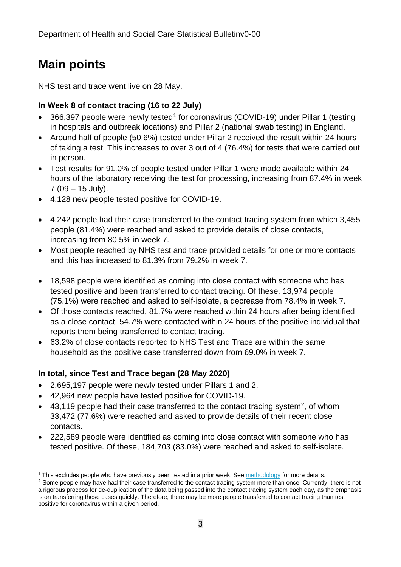# **Main points**

NHS test and trace went live on 28 May.

### **In Week 8 of contact tracing (16 to 22 July)**

- 366,397 people were newly tested<sup>[1](#page-2-0)</sup> for coronavirus (COVID-19) under Pillar 1 (testing in hospitals and outbreak locations) and Pillar 2 (national swab testing) in England.
- Around half of people (50.6%) tested under Pillar 2 received the result within 24 hours of taking a test. This increases to over 3 out of 4 (76.4%) for tests that were carried out in person.
- Test results for 91.0% of people tested under Pillar 1 were made available within 24 hours of the laboratory receiving the test for processing, increasing from 87.4% in week 7 (09 – 15 July).
- 4,128 new people tested positive for COVID-19.
- 4,242 people had their case transferred to the contact tracing system from which 3,455 people (81.4%) were reached and asked to provide details of close contacts, increasing from 80.5% in week 7.
- Most people reached by NHS test and trace provided details for one or more contacts and this has increased to 81.3% from 79.2% in week 7.
- 18,598 people were identified as coming into close contact with someone who has tested positive and been transferred to contact tracing. Of these, 13,974 people (75.1%) were reached and asked to self-isolate, a decrease from 78.4% in week 7.
- Of those contacts reached, 81.7% were reached within 24 hours after being identified as a close contact. 54.7% were contacted within 24 hours of the positive individual that reports them being transferred to contact tracing.
- 63.2% of close contacts reported to NHS Test and Trace are within the same household as the positive case transferred down from 69.0% in week 7.

#### **In total, since Test and Trace began (28 May 2020)**

- 2,695,197 people were newly tested under Pillars 1 and 2.
- 42,964 new people have tested positive for COVID-19.
- 43,119 people had their case transferred to the contact tracing system<sup>2</sup>, of whom 33,472 (77.6%) were reached and asked to provide details of their recent close contacts.
- 222,589 people were identified as coming into close contact with someone who has tested positive. Of these, 184,703 (83.0%) were reached and asked to self-isolate.

<span id="page-2-0"></span><sup>&</sup>lt;sup>1</sup> This excludes people who have previously been tested in a prior week. See [methodology](https://www.gov.uk/government/publications/nhs-test-and-trace-statistics-england-methodology) for more details.

<span id="page-2-1"></span><sup>&</sup>lt;sup>2</sup> Some people may have had their case transferred to the contact tracing system more than once. Currently, there is not a rigorous process for de-duplication of the data being passed into the contact tracing system each day, as the emphasis is on transferring these cases quickly. Therefore, there may be more people transferred to contact tracing than test positive for coronavirus within a given period.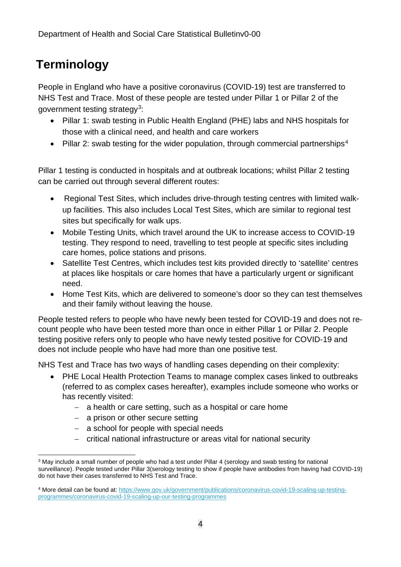# **Terminology**

People in England who have a positive coronavirus (COVID-19) test are transferred to NHS Test and Trace. Most of these people are tested under Pillar 1 or Pillar 2 of the government testing strategy[3:](#page-3-0)

- Pillar 1: swab testing in Public Health England (PHE) labs and NHS hospitals for those with a clinical need, and health and care workers
- Pillar 2: swab testing for the wider population, through commercial partnerships<sup>[4](#page-3-1)</sup>

Pillar 1 testing is conducted in hospitals and at outbreak locations; whilst Pillar 2 testing can be carried out through several different routes:

- Regional Test Sites, which includes drive-through testing centres with limited walkup facilities. This also includes Local Test Sites, which are similar to regional test sites but specifically for walk ups.
- Mobile Testing Units, which travel around the UK to increase access to COVID-19 testing. They respond to need, travelling to test people at specific sites including care homes, police stations and prisons.
- Satellite Test Centres, which includes test kits provided directly to 'satellite' centres at places like hospitals or care homes that have a particularly urgent or significant need.
- Home Test Kits, which are delivered to someone's door so they can test themselves and their family without leaving the house.

People tested refers to people who have newly been tested for COVID-19 and does not recount people who have been tested more than once in either Pillar 1 or Pillar 2. People testing positive refers only to people who have newly tested positive for COVID-19 and does not include people who have had more than one positive test.

NHS Test and Trace has two ways of handling cases depending on their complexity:

- PHE Local Health Protection Teams to manage complex cases linked to outbreaks (referred to as complex cases hereafter), examples include someone who works or has recently visited:
	- − a health or care setting, such as a hospital or care home
	- − a prison or other secure setting
	- − a school for people with special needs
	- − critical national infrastructure or areas vital for national security

<span id="page-3-0"></span><sup>3</sup> May include a small number of people who had a test under Pillar 4 (serology and swab testing for national surveillance). People tested under Pillar 3(serology testing to show if people have antibodies from having had COVID-19) do not have their cases transferred to NHS Test and Trace.

<span id="page-3-1"></span><sup>4</sup> More detail can be found at[: https://www.gov.uk/government/publications/coronavirus-covid-19-scaling-up-testing](https://www.gov.uk/government/publications/coronavirus-covid-19-scaling-up-testing-programmes/coronavirus-covid-19-scaling-up-our-testing-programmes)[programmes/coronavirus-covid-19-scaling-up-our-testing-programmes](https://www.gov.uk/government/publications/coronavirus-covid-19-scaling-up-testing-programmes/coronavirus-covid-19-scaling-up-our-testing-programmes)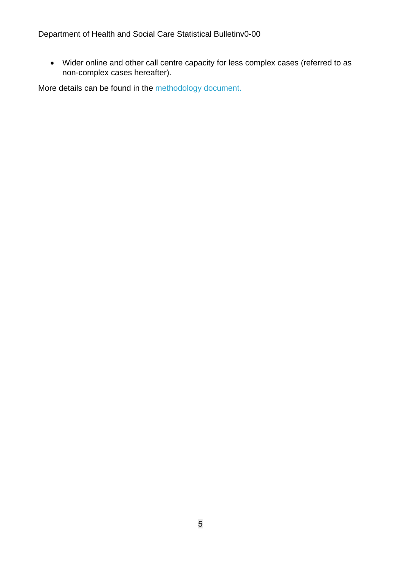• Wider online and other call centre capacity for less complex cases (referred to as non-complex cases hereafter).

More details can be found in the [methodology document.](https://www.gov.uk/government/publications/nhs-test-and-trace-statistics-england-methodology)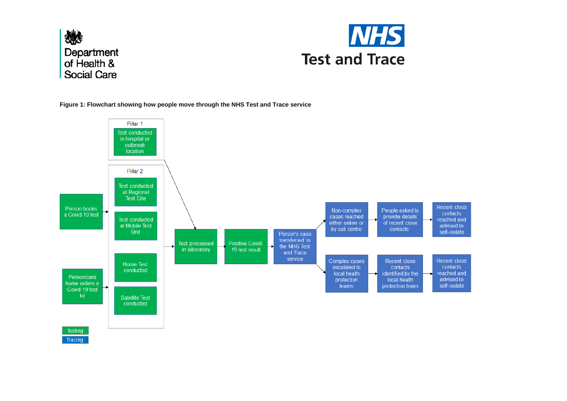



**Figure 1: Flowchart showing how people move through the NHS Test and Trace service**

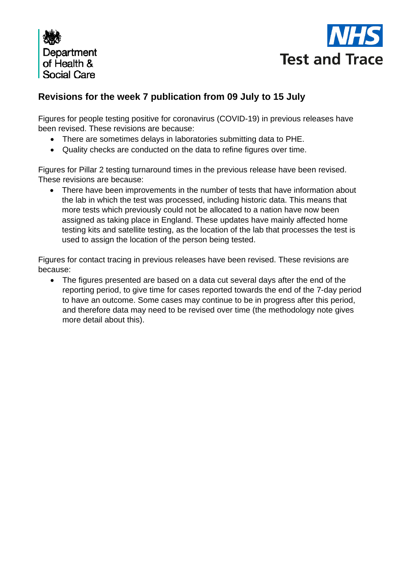



### **Revisions for the week 7 publication from 09 July to 15 July**

Figures for people testing positive for coronavirus (COVID-19) in previous releases have been revised. These revisions are because:

- There are sometimes delays in laboratories submitting data to PHE.
- Quality checks are conducted on the data to refine figures over time.

Figures for Pillar 2 testing turnaround times in the previous release have been revised. These revisions are because:

• There have been improvements in the number of tests that have information about the lab in which the test was processed, including historic data. This means that more tests which previously could not be allocated to a nation have now been assigned as taking place in England. These updates have mainly affected home testing kits and satellite testing, as the location of the lab that processes the test is used to assign the location of the person being tested.

Figures for contact tracing in previous releases have been revised. These revisions are because:

• The figures presented are based on a data cut several days after the end of the reporting period, to give time for cases reported towards the end of the 7-day period to have an outcome. Some cases may continue to be in progress after this period, and therefore data may need to be revised over time (the methodology note gives more detail about this).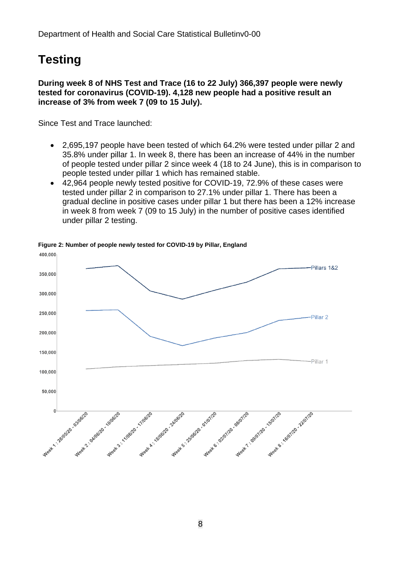# **Testing**

#### **During week 8 of NHS Test and Trace (16 to 22 July) 366,397 people were newly tested for coronavirus (COVID-19). 4,128 new people had a positive result an increase of 3% from week 7 (09 to 15 July).**

Since Test and Trace launched:

- 2,695,197 people have been tested of which 64.2% were tested under pillar 2 and 35.8% under pillar 1. In week 8, there has been an increase of 44% in the number of people tested under pillar 2 since week 4 (18 to 24 June), this is in comparison to people tested under pillar 1 which has remained stable.
- 42,964 people newly tested positive for COVID-19, 72.9% of these cases were tested under pillar 2 in comparison to 27.1% under pillar 1. There has been a gradual decline in positive cases under pillar 1 but there has been a 12% increase in week 8 from week 7 (09 to 15 July) in the number of positive cases identified under pillar 2 testing.



**Figure 2: Number of people newly tested for COVID-19 by Pillar, England**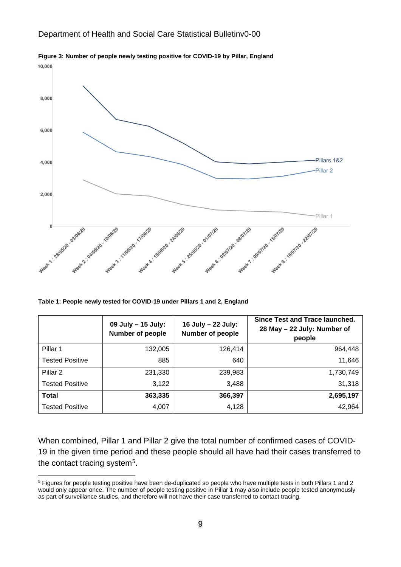

**Figure 3: Number of people newly testing positive for COVID-19 by Pillar, England**

**Table 1: People newly tested for COVID-19 under Pillars 1 and 2, England**

|                        | 09 July - 15 July:<br><b>Number of people</b> | 16 July - 22 July:<br>Number of people | Since Test and Trace launched.<br>28 May - 22 July: Number of<br>people |
|------------------------|-----------------------------------------------|----------------------------------------|-------------------------------------------------------------------------|
| Pillar 1               | 132,005                                       | 126,414                                | 964,448                                                                 |
| <b>Tested Positive</b> | 885                                           | 640                                    | 11,646                                                                  |
| Pillar 2               | 231,330                                       | 239,983                                | 1,730,749                                                               |
| <b>Tested Positive</b> | 3,122                                         | 3,488                                  | 31,318                                                                  |
| <b>Total</b>           | 363,335                                       | 366,397                                | 2,695,197                                                               |
| <b>Tested Positive</b> | 4,007                                         | 4,128                                  | 42,964                                                                  |

When combined, Pillar 1 and Pillar 2 give the total number of confirmed cases of COVID-19 in the given time period and these people should all have had their cases transferred to the contact tracing system[5](#page-8-0).

<span id="page-8-0"></span><sup>5</sup> Figures for people testing positive have been de-duplicated so people who have multiple tests in both Pillars 1 and 2 would only appear once. The number of people testing positive in Pillar 1 may also include people tested anonymously as part of surveillance studies, and therefore will not have their case transferred to contact tracing.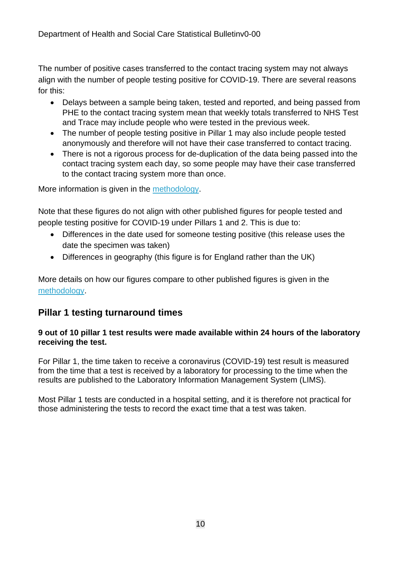The number of positive cases transferred to the contact tracing system may not always align with the number of people testing positive for COVID-19. There are several reasons for this:

- Delays between a sample being taken, tested and reported, and being passed from PHE to the contact tracing system mean that weekly totals transferred to NHS Test and Trace may include people who were tested in the previous week.
- The number of people testing positive in Pillar 1 may also include people tested anonymously and therefore will not have their case transferred to contact tracing.
- There is not a rigorous process for de-duplication of the data being passed into the contact tracing system each day, so some people may have their case transferred to the contact tracing system more than once.

More information is given in the [methodology.](https://www.gov.uk/government/publications/nhs-test-and-trace-statistics-england-methodology)

Note that these figures do not align with other published figures for people tested and people testing positive for COVID-19 under Pillars 1 and 2. This is due to:

- Differences in the date used for someone testing positive (this release uses the date the specimen was taken)
- Differences in geography (this figure is for England rather than the UK)

More details on how our figures compare to other published figures is given in the [methodology.](https://www.gov.uk/government/publications/nhs-test-and-trace-statistics-england-methodology)

### **Pillar 1 testing turnaround times**

#### **9 out of 10 pillar 1 test results were made available within 24 hours of the laboratory receiving the test.**

For Pillar 1, the time taken to receive a coronavirus (COVID-19) test result is measured from the time that a test is received by a laboratory for processing to the time when the results are published to the Laboratory Information Management System (LIMS).

Most Pillar 1 tests are conducted in a hospital setting, and it is therefore not practical for those administering the tests to record the exact time that a test was taken.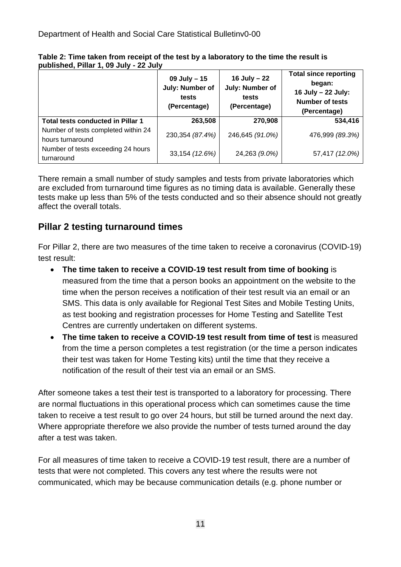|                                                         | 09 July - 15<br>July: Number of<br>tests<br>(Percentage) | 16 July - 22<br>July: Number of<br>tests<br>(Percentage) | <b>Total since reporting</b><br>began:<br>16 July - 22 July:<br><b>Number of tests</b><br>(Percentage) |
|---------------------------------------------------------|----------------------------------------------------------|----------------------------------------------------------|--------------------------------------------------------------------------------------------------------|
| Total tests conducted in Pillar 1                       | 263,508                                                  | 270,908                                                  | 534,416                                                                                                |
| Number of tests completed within 24<br>hours turnaround | 230,354 (87.4%)                                          | 246,645 (91.0%)                                          | 476,999 (89.3%)                                                                                        |
| Number of tests exceeding 24 hours<br>turnaround        | 33,154 (12.6%)                                           | 24,263 (9.0%)                                            | 57,417 (12.0%)                                                                                         |

|                                        | Table 2: Time taken from receipt of the test by a laboratory to the time the result is |
|----------------------------------------|----------------------------------------------------------------------------------------|
| published, Pillar 1, 09 July - 22 July |                                                                                        |

There remain a small number of study samples and tests from private laboratories which are excluded from turnaround time figures as no timing data is available. Generally these tests make up less than 5% of the tests conducted and so their absence should not greatly affect the overall totals.

## **Pillar 2 testing turnaround times**

For Pillar 2, there are two measures of the time taken to receive a coronavirus (COVID-19) test result:

- **The time taken to receive a COVID-19 test result from time of booking** is measured from the time that a person books an appointment on the website to the time when the person receives a notification of their test result via an email or an SMS. This data is only available for Regional Test Sites and Mobile Testing Units, as test booking and registration processes for Home Testing and Satellite Test Centres are currently undertaken on different systems.
- **The time taken to receive a COVID-19 test result from time of test** is measured from the time a person completes a test registration (or the time a person indicates their test was taken for Home Testing kits) until the time that they receive a notification of the result of their test via an email or an SMS.

After someone takes a test their test is transported to a laboratory for processing. There are normal fluctuations in this operational process which can sometimes cause the time taken to receive a test result to go over 24 hours, but still be turned around the next day. Where appropriate therefore we also provide the number of tests turned around the day after a test was taken.

For all measures of time taken to receive a COVID-19 test result, there are a number of tests that were not completed. This covers any test where the results were not communicated, which may be because communication details (e.g. phone number or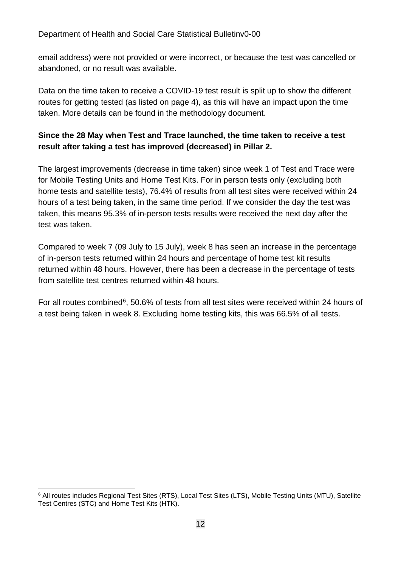email address) were not provided or were incorrect, or because the test was cancelled or abandoned, or no result was available.

Data on the time taken to receive a COVID-19 test result is split up to show the different routes for getting tested (as listed on page 4), as this will have an impact upon the time taken. More details can be found in the methodology document.

#### **Since the 28 May when Test and Trace launched, the time taken to receive a test result after taking a test has improved (decreased) in Pillar 2.**

The largest improvements (decrease in time taken) since week 1 of Test and Trace were for Mobile Testing Units and Home Test Kits. For in person tests only (excluding both home tests and satellite tests), 76.4% of results from all test sites were received within 24 hours of a test being taken, in the same time period. If we consider the day the test was taken, this means 95.3% of in-person tests results were received the next day after the test was taken.

Compared to week 7 (09 July to 15 July), week 8 has seen an increase in the percentage of in-person tests returned within 24 hours and percentage of home test kit results returned within 48 hours. However, there has been a decrease in the percentage of tests from satellite test centres returned within 48 hours.

For all routes combined<sup>[6](#page-11-0)</sup>, 50.6% of tests from all test sites were received within 24 hours of a test being taken in week 8. Excluding home testing kits, this was 66.5% of all tests.

<span id="page-11-0"></span><sup>&</sup>lt;sup>6</sup> All routes includes Regional Test Sites (RTS), Local Test Sites (LTS), Mobile Testing Units (MTU), Satellite Test Centres (STC) and Home Test Kits (HTK).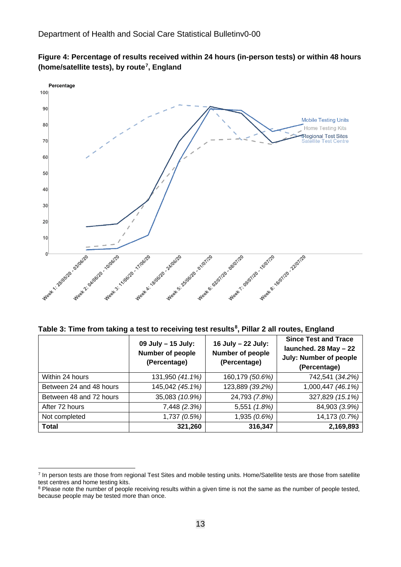



**Table 3: Time from taking a test to receiving test results[8](#page-12-1) , Pillar 2 all routes, England** 

|                         | 09 July - 15 July:<br><b>Number of people</b><br>(Percentage) | 16 July - 22 July:<br><b>Number of people</b><br>(Percentage) | <b>Since Test and Trace</b><br>launched. 28 May - 22<br><b>July: Number of people</b><br>(Percentage) |
|-------------------------|---------------------------------------------------------------|---------------------------------------------------------------|-------------------------------------------------------------------------------------------------------|
| Within 24 hours         | 131,950 (41.1%)                                               | 160,179 (50.6%)                                               | 742,541 (34.2%)                                                                                       |
| Between 24 and 48 hours | 145,042 (45.1%)                                               | 123,889 (39.2%)                                               | 1,000,447 (46.1%)                                                                                     |
| Between 48 and 72 hours | 35,083 (10.9%)                                                | 24,793 (7.8%)                                                 | 327,829 (15.1%)                                                                                       |
| After 72 hours          | 7,448 (2.3%)                                                  | 5,551 (1.8%)                                                  | 84,903 (3.9%)                                                                                         |
| Not completed           | 1,737(0.5%)                                                   | 1,935 (0.6%)                                                  | 14,173 (0.7%)                                                                                         |
| <b>Total</b>            | 321,260                                                       | 316,347                                                       | 2,169,893                                                                                             |

<span id="page-12-0"></span><sup>&</sup>lt;sup>7</sup> In person tests are those from regional Test Sites and mobile testing units. Home/Satellite tests are those from satellite test centres and home testing kits.

<span id="page-12-1"></span><sup>&</sup>lt;sup>8</sup> Please note the number of people receiving results within a given time is not the same as the number of people tested, because people may be tested more than once.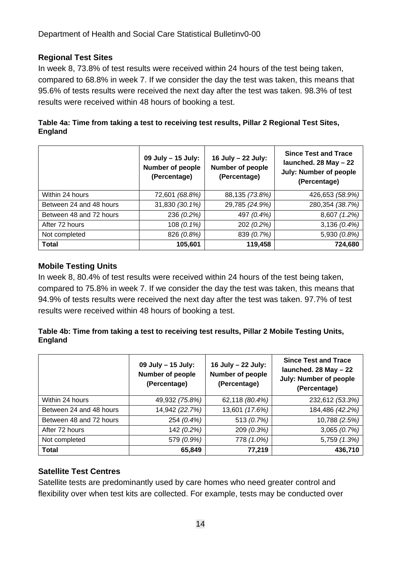#### **Regional Test Sites**

In week 8, 73.8% of test results were received within 24 hours of the test being taken, compared to 68.8% in week 7. If we consider the day the test was taken, this means that 95.6% of tests results were received the next day after the test was taken. 98.3% of test results were received within 48 hours of booking a test.

| Table 4a: Time from taking a test to receiving test results, Pillar 2 Regional Test Sites, |  |
|--------------------------------------------------------------------------------------------|--|
| England                                                                                    |  |

|                         | 09 July - 15 July:<br>Number of people<br>(Percentage) | 16 July - 22 July:<br><b>Number of people</b><br>(Percentage) | <b>Since Test and Trace</b><br>launched. 28 May - 22<br><b>July: Number of people</b><br>(Percentage) |
|-------------------------|--------------------------------------------------------|---------------------------------------------------------------|-------------------------------------------------------------------------------------------------------|
| Within 24 hours         | 72,601 (68.8%)                                         | 88,135 (73.8%)                                                | 426,653 (58.9%)                                                                                       |
| Between 24 and 48 hours | 31,830 (30.1%)                                         | 29,785 (24.9%)                                                | 280,354 (38.7%)                                                                                       |
| Between 48 and 72 hours | 236 (0.2%)                                             | 497 (0.4%)                                                    | 8,607 (1.2%)                                                                                          |
| After 72 hours          | 108 (0.1%)                                             | 202 (0.2%)                                                    | $3,136(0.4\%)$                                                                                        |
| Not completed           | 826 (0.8%)                                             | 839 (0.7%)                                                    | 5,930 (0.8%)                                                                                          |
| <b>Total</b>            | 105,601                                                | 119,458                                                       | 724,680                                                                                               |

#### **Mobile Testing Units**

In week 8, 80.4% of test results were received within 24 hours of the test being taken, compared to 75.8% in week 7. If we consider the day the test was taken, this means that 94.9% of tests results were received the next day after the test was taken. 97.7% of test results were received within 48 hours of booking a test.

#### **Table 4b: Time from taking a test to receiving test results, Pillar 2 Mobile Testing Units, England**

|                         | 09 July - 15 July:<br><b>Number of people</b><br>(Percentage) | 16 July - 22 July:<br>Number of people<br>(Percentage) | <b>Since Test and Trace</b><br>launched. 28 May - 22<br><b>July: Number of people</b><br>(Percentage) |
|-------------------------|---------------------------------------------------------------|--------------------------------------------------------|-------------------------------------------------------------------------------------------------------|
| Within 24 hours         | 49,932 (75.8%)                                                | 62,118 (80.4%)                                         | 232,612 (53.3%)                                                                                       |
| Between 24 and 48 hours | 14,942 (22.7%)                                                | 13,601 (17.6%)                                         | 184,486 (42.2%)                                                                                       |
| Between 48 and 72 hours | 254 (0.4%)                                                    | 513 (0.7%)                                             | 10,788 (2.5%)                                                                                         |
| After 72 hours          | 142 (0.2%)                                                    | 209 (0.3%)                                             | 3,065(0.7%)                                                                                           |
| Not completed           | 579 (0.9%)                                                    | 778 (1.0%)                                             | 5,759 (1.3%)                                                                                          |
| <b>Total</b>            | 65,849                                                        | 77,219                                                 | 436,710                                                                                               |

#### **Satellite Test Centres**

Satellite tests are predominantly used by care homes who need greater control and flexibility over when test kits are collected. For example, tests may be conducted over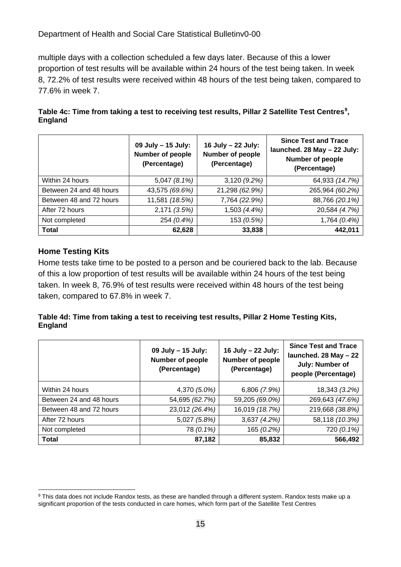multiple days with a collection scheduled a few days later. Because of this a lower proportion of test results will be available within 24 hours of the test being taken. In week 8, 72.2% of test results were received within 48 hours of the test being taken, compared to 77.6% in week 7.

| Table 4c: Time from taking a test to receiving test results, Pillar 2 Satellite Test Centres <sup>9</sup> , |  |
|-------------------------------------------------------------------------------------------------------------|--|
| <b>England</b>                                                                                              |  |

|                         | 09 July - 15 July:<br><b>Number of people</b><br>(Percentage) | 16 July - 22 July:<br>Number of people<br>(Percentage) | <b>Since Test and Trace</b><br>launched. 28 May - 22 July:<br>Number of people<br>(Percentage) |
|-------------------------|---------------------------------------------------------------|--------------------------------------------------------|------------------------------------------------------------------------------------------------|
| Within 24 hours         | 5,047 (8.1%)                                                  | 3,120(9.2%)                                            | 64,933 (14.7%)                                                                                 |
| Between 24 and 48 hours | 43,575 (69.6%)                                                | 21,298 (62.9%)                                         | 265,964 (60.2%)                                                                                |
| Between 48 and 72 hours | 11,581 (18.5%)                                                | 7,764 (22.9%)                                          | 88,766 (20.1%)                                                                                 |
| After 72 hours          | 2,171 (3.5%)                                                  | 1,503 (4.4%)                                           | 20,584 (4.7%)                                                                                  |
| Not completed           | 254 (0.4%)                                                    | 153 (0.5%)                                             | 1,764 (0.4%)                                                                                   |
| <b>Total</b>            | 62,628                                                        | 33,838                                                 | 442,011                                                                                        |

#### **Home Testing Kits**

Home tests take time to be posted to a person and be couriered back to the lab. Because of this a low proportion of test results will be available within 24 hours of the test being taken. In week 8, 76.9% of test results were received within 48 hours of the test being taken, compared to 67.8% in week 7.

#### **Table 4d: Time from taking a test to receiving test results, Pillar 2 Home Testing Kits, England**

|                         | 09 July - 15 July:<br>Number of people<br>(Percentage) | 16 July - 22 July:<br>Number of people<br>(Percentage) | <b>Since Test and Trace</b><br>launched. 28 May - 22<br>July: Number of<br>people (Percentage) |
|-------------------------|--------------------------------------------------------|--------------------------------------------------------|------------------------------------------------------------------------------------------------|
| Within 24 hours         | 4,370 (5.0%)                                           | 6,806 (7.9%)                                           | 18,343 (3.2%)                                                                                  |
| Between 24 and 48 hours | 54,695 (62.7%)                                         | 59,205 (69.0%)                                         | 269,643 (47.6%)                                                                                |
| Between 48 and 72 hours | 23,012 (26.4%)                                         | 16,019 (18.7%)                                         | 219,668 (38.8%)                                                                                |
| After 72 hours          | 5,027 (5.8%)                                           | 3,637(4.2%)                                            | 58,118 (10.3%)                                                                                 |
| Not completed           | 78 (0.1%)                                              | 165 (0.2%)                                             | 720 (0.1%)                                                                                     |
| <b>Total</b>            | 87,182                                                 | 85,832                                                 | 566,492                                                                                        |

<span id="page-14-0"></span><sup>9</sup> This data does not include Randox tests, as these are handled through a different system. Randox tests make up a significant proportion of the tests conducted in care homes, which form part of the Satellite Test Centres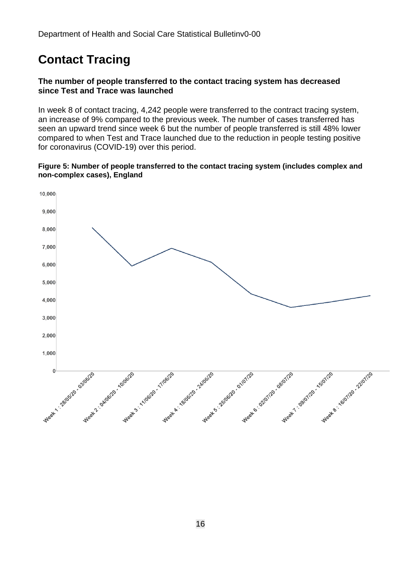# **Contact Tracing**

#### **The number of people transferred to the contact tracing system has decreased since Test and Trace was launched**

In week 8 of contact tracing, 4,242 people were transferred to the contract tracing system, an increase of 9% compared to the previous week. The number of cases transferred has seen an upward trend since week 6 but the number of people transferred is still 48% lower compared to when Test and Trace launched due to the reduction in people testing positive for coronavirus (COVID-19) over this period.

#### **Figure 5: Number of people transferred to the contact tracing system (includes complex and non-complex cases), England**

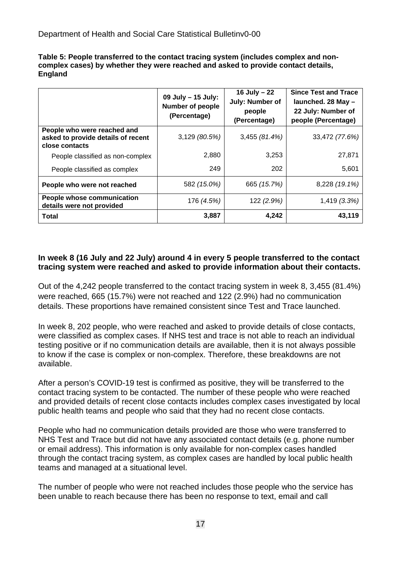| Table 5: People transferred to the contact tracing system (includes complex and non- |
|--------------------------------------------------------------------------------------|
| complex cases) by whether they were reached and asked to provide contact details,    |
| <b>England</b>                                                                       |

|                                                                                     | 09 July - 15 July:<br><b>Number of people</b><br>(Percentage) | 16 July $-22$<br>July: Number of<br>people<br>(Percentage) | <b>Since Test and Trace</b><br>launched. 28 May -<br>22 July: Number of<br>people (Percentage) |
|-------------------------------------------------------------------------------------|---------------------------------------------------------------|------------------------------------------------------------|------------------------------------------------------------------------------------------------|
| People who were reached and<br>asked to provide details of recent<br>close contacts | $3,129$ (80.5%)                                               | 3,455(81.4%)                                               | 33,472 (77.6%)                                                                                 |
| People classified as non-complex                                                    | 2,880                                                         | 3,253                                                      | 27,871                                                                                         |
| People classified as complex                                                        | 249                                                           | 202                                                        | 5,601                                                                                          |
| People who were not reached                                                         | 582 (15.0%)                                                   | 665 (15.7%)                                                | 8,228 (19.1%)                                                                                  |
| People whose communication<br>details were not provided                             | 176 (4.5%)                                                    | 122 (2.9%)                                                 | 1,419 (3.3%)                                                                                   |
| Total                                                                               | 3,887                                                         | 4,242                                                      | 43,119                                                                                         |

#### **In week 8 (16 July and 22 July) around 4 in every 5 people transferred to the contact tracing system were reached and asked to provide information about their contacts.**

Out of the 4,242 people transferred to the contact tracing system in week 8, 3,455 (81.4%) were reached, 665 (15.7%) were not reached and 122 (2.9%) had no communication details. These proportions have remained consistent since Test and Trace launched.

In week 8, 202 people, who were reached and asked to provide details of close contacts, were classified as complex cases. If NHS test and trace is not able to reach an individual testing positive or if no communication details are available, then it is not always possible to know if the case is complex or non-complex. Therefore, these breakdowns are not available.

After a person's COVID-19 test is confirmed as positive, they will be transferred to the contact tracing system to be contacted. The number of these people who were reached and provided details of recent close contacts includes complex cases investigated by local public health teams and people who said that they had no recent close contacts.

People who had no communication details provided are those who were transferred to NHS Test and Trace but did not have any associated contact details (e.g. phone number or email address). This information is only available for non-complex cases handled through the contact tracing system, as complex cases are handled by local public health teams and managed at a situational level.

The number of people who were not reached includes those people who the service has been unable to reach because there has been no response to text, email and call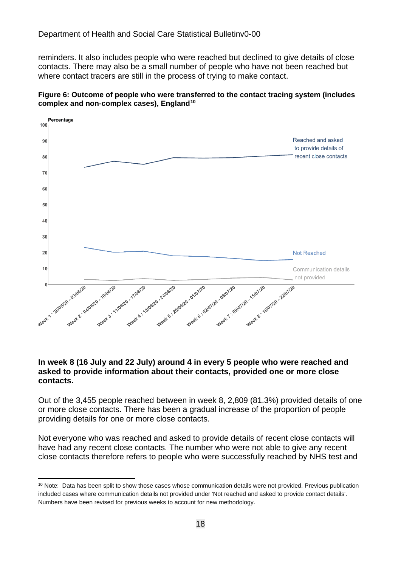reminders. It also includes people who were reached but declined to give details of close contacts. There may also be a small number of people who have not been reached but where contact tracers are still in the process of trying to make contact.

#### **Figure 6: Outcome of people who were transferred to the contact tracing system (includes complex and non-complex cases), England[10](#page-17-0)**



#### **In week 8 (16 July and 22 July) around 4 in every 5 people who were reached and asked to provide information about their contacts, provided one or more close contacts.**

Out of the 3,455 people reached between in week 8, 2,809 (81.3%) provided details of one or more close contacts. There has been a gradual increase of the proportion of people providing details for one or more close contacts.

Not everyone who was reached and asked to provide details of recent close contacts will have had any recent close contacts. The number who were not able to give any recent close contacts therefore refers to people who were successfully reached by NHS test and

<span id="page-17-0"></span><sup>&</sup>lt;sup>10</sup> Note: Data has been split to show those cases whose communication details were not provided. Previous publication included cases where communication details not provided under 'Not reached and asked to provide contact details'. Numbers have been revised for previous weeks to account for new methodology.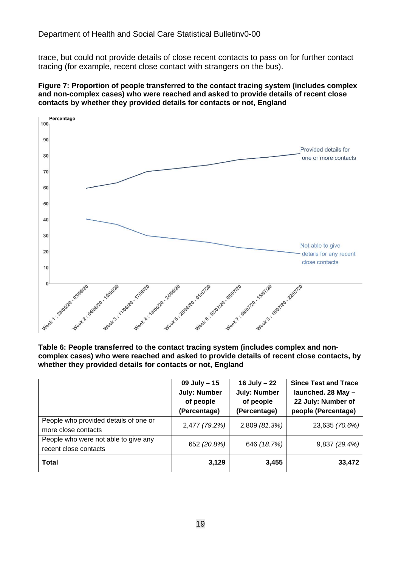trace, but could not provide details of close recent contacts to pass on for further contact tracing (for example, recent close contact with strangers on the bus).

#### **Figure 7: Proportion of people transferred to the contact tracing system (includes complex and non-complex cases) who were reached and asked to provide details of recent close contacts by whether they provided details for contacts or not, England**



**Table 6: People transferred to the contact tracing system (includes complex and noncomplex cases) who were reached and asked to provide details of recent close contacts, by whether they provided details for contacts or not, England**

|                                                               | $09$ July $- 15$<br><b>July: Number</b><br>of people<br>(Percentage) | 16 July - 22<br><b>July: Number</b><br>of people<br>(Percentage) | <b>Since Test and Trace</b><br>launched. 28 May -<br>22 July: Number of<br>people (Percentage) |
|---------------------------------------------------------------|----------------------------------------------------------------------|------------------------------------------------------------------|------------------------------------------------------------------------------------------------|
| People who provided details of one or<br>more close contacts  | 2,477 (79.2%)                                                        | 2,809 (81.3%)                                                    | 23,635 (70.6%)                                                                                 |
| People who were not able to give any<br>recent close contacts | 652 (20.8%)                                                          | 646 (18.7%)                                                      | 9,837 (29.4%)                                                                                  |
| <b>Total</b>                                                  | 3,129                                                                | 3,455                                                            | 33,472                                                                                         |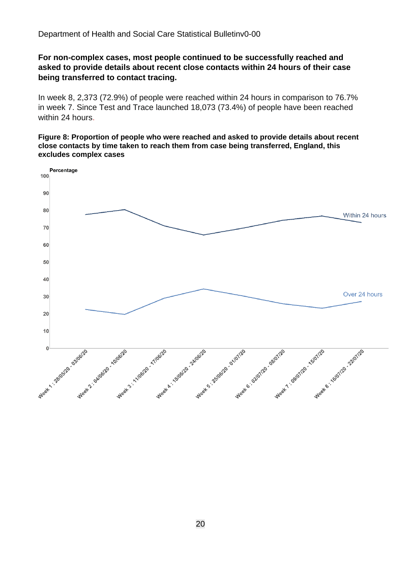#### **For non-complex cases, most people continued to be successfully reached and asked to provide details about recent close contacts within 24 hours of their case being transferred to contact tracing.**

In week 8, 2,373 (72.9%) of people were reached within 24 hours in comparison to 76.7% in week 7. Since Test and Trace launched 18,073 (73.4%) of people have been reached within 24 hours.

#### **Figure 8: Proportion of people who were reached and asked to provide details about recent close contacts by time taken to reach them from case being transferred, England, this excludes complex cases**

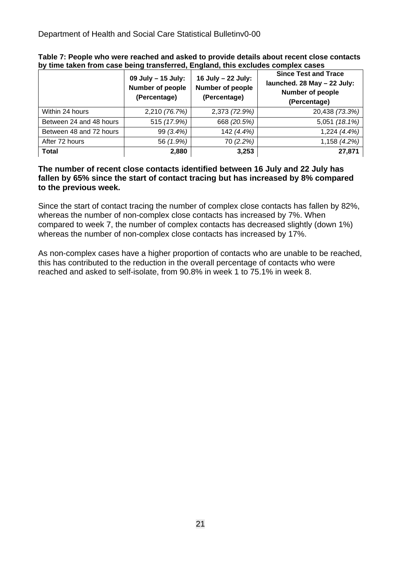|                         | 09 July - 15 July:<br><b>Number of people</b><br>(Percentage) | 16 July - 22 July:<br>Number of people<br>(Percentage) | <b>Since Test and Trace</b><br>launched. 28 May - 22 July:<br>Number of people<br>(Percentage) |
|-------------------------|---------------------------------------------------------------|--------------------------------------------------------|------------------------------------------------------------------------------------------------|
| Within 24 hours         | 2,210 (76.7%)                                                 | 2,373 (72.9%)                                          | 20,438 (73.3%)                                                                                 |
| Between 24 and 48 hours | 515 (17.9%)                                                   | 668 (20.5%)                                            | 5,051 (18.1%)                                                                                  |
| Between 48 and 72 hours | 99 (3.4%)                                                     | 142 (4.4%)                                             | 1,224 (4.4%)                                                                                   |
| After 72 hours          | 56 (1.9%)                                                     | 70 (2.2%)                                              | 1,158 (4.2%)                                                                                   |
| <b>Total</b>            | 2,880                                                         | 3,253                                                  | 27,871                                                                                         |

**Table 7: People who were reached and asked to provide details about recent close contacts by time taken from case being transferred, England, this excludes complex cases** 

#### **The number of recent close contacts identified between 16 July and 22 July has fallen by 65% since the start of contact tracing but has increased by 8% compared to the previous week.**

Since the start of contact tracing the number of complex close contacts has fallen by 82%, whereas the number of non-complex close contacts has increased by 7%. When compared to week 7, the number of complex contacts has decreased slightly (down 1%) whereas the number of non-complex close contacts has increased by 17%.

As non-complex cases have a higher proportion of contacts who are unable to be reached, this has contributed to the reduction in the overall percentage of contacts who were reached and asked to self-isolate, from 90.8% in week 1 to 75.1% in week 8.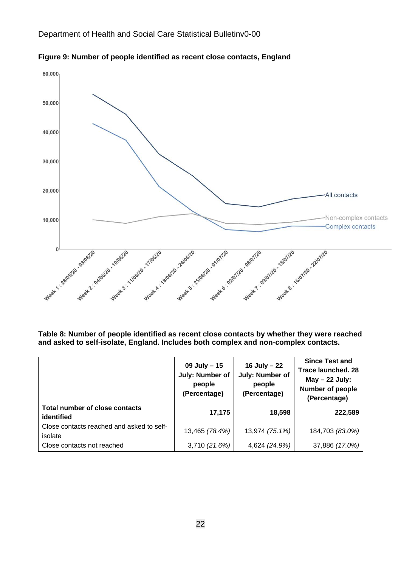

**Figure 9: Number of people identified as recent close contacts, England**

**Table 8: Number of people identified as recent close contacts by whether they were reached and asked to self-isolate, England. Includes both complex and non-complex contacts.**

|                                                      | 09 July - 15<br>July: Number of<br>people<br>(Percentage) | 16 July $-22$<br>July: Number of<br>people<br>(Percentage) | <b>Since Test and</b><br><b>Trace launched. 28</b><br>$May - 22 July:$<br>Number of people<br>(Percentage) |
|------------------------------------------------------|-----------------------------------------------------------|------------------------------------------------------------|------------------------------------------------------------------------------------------------------------|
| <b>Total number of close contacts</b><br>identified  | 17,175                                                    | 18,598                                                     | 222,589                                                                                                    |
| Close contacts reached and asked to self-<br>isolate | 13,465 (78.4%)                                            | 13,974 (75.1%)                                             | 184,703 (83.0%)                                                                                            |
| Close contacts not reached                           | 3,710 (21.6%)                                             | 4,624 (24.9%)                                              | 37,886 (17.0%)                                                                                             |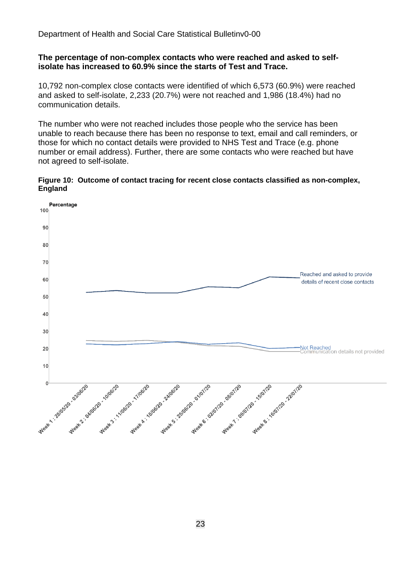#### **The percentage of non-complex contacts who were reached and asked to selfisolate has increased to 60.9% since the starts of Test and Trace.**

10,792 non-complex close contacts were identified of which 6,573 (60.9%) were reached and asked to self-isolate, 2,233 (20.7%) were not reached and 1,986 (18.4%) had no communication details.

The number who were not reached includes those people who the service has been unable to reach because there has been no response to text, email and call reminders, or those for which no contact details were provided to NHS Test and Trace (e.g. phone number or email address). Further, there are some contacts who were reached but have not agreed to self-isolate.

#### **Figure 10: Outcome of contact tracing for recent close contacts classified as non-complex, England**

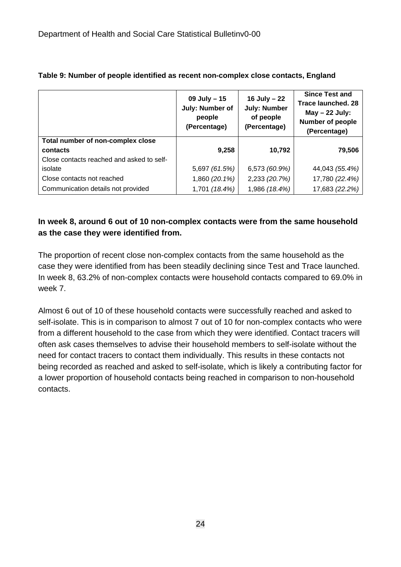|                                           | 09 July $-15$<br>July: Number of<br>people<br>(Percentage) | 16 July - 22<br><b>July: Number</b><br>of people<br>(Percentage) | <b>Since Test and</b><br><b>Trace launched. 28</b><br>$May - 22 July:$<br>Number of people<br>(Percentage) |
|-------------------------------------------|------------------------------------------------------------|------------------------------------------------------------------|------------------------------------------------------------------------------------------------------------|
| Total number of non-complex close         |                                                            |                                                                  |                                                                                                            |
| contacts                                  | 9,258                                                      | 10,792                                                           | 79,506                                                                                                     |
| Close contacts reached and asked to self- |                                                            |                                                                  |                                                                                                            |
| isolate                                   | 5,697 (61.5%)                                              | 6,573 (60.9%)                                                    | 44,043 (55.4%)                                                                                             |
| Close contacts not reached                | 1,860 (20.1%)                                              | 2,233 (20.7%)                                                    | 17,780 (22.4%)                                                                                             |
| Communication details not provided        | 1,701 (18.4%)                                              | 1,986 (18.4%)                                                    | 17,683 (22.2%)                                                                                             |

#### **Table 9: Number of people identified as recent non-complex close contacts, England**

### **In week 8, around 6 out of 10 non-complex contacts were from the same household as the case they were identified from.**

The proportion of recent close non-complex contacts from the same household as the case they were identified from has been steadily declining since Test and Trace launched. In week 8, 63.2% of non-complex contacts were household contacts compared to 69.0% in week 7.

Almost 6 out of 10 of these household contacts were successfully reached and asked to self-isolate. This is in comparison to almost 7 out of 10 for non-complex contacts who were from a different household to the case from which they were identified. Contact tracers will often ask cases themselves to advise their household members to self-isolate without the need for contact tracers to contact them individually. This results in these contacts not being recorded as reached and asked to self-isolate, which is likely a contributing factor for a lower proportion of household contacts being reached in comparison to non-household contacts.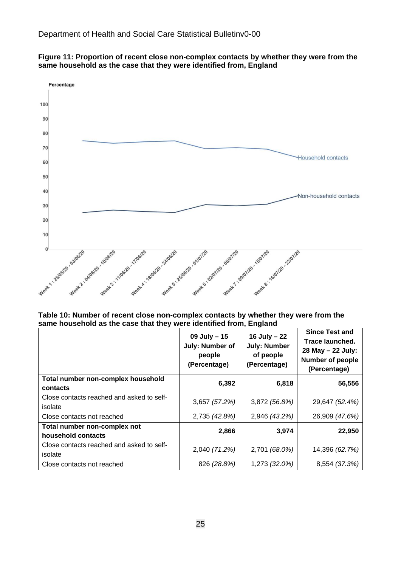

**Figure 11: Proportion of recent close non-complex contacts by whether they were from the same household as the case that they were identified from, England**

**Table 10: Number of recent close non-complex contacts by whether they were from the same household as the case that they were identified from, England**

|                                                      | 09 July $-15$<br>July: Number of<br>people<br>(Percentage) | 16 July $-22$<br><b>July: Number</b><br>of people<br>(Percentage) | <b>Since Test and</b><br>Trace launched.<br>28 May - 22 July:<br><b>Number of people</b><br>(Percentage) |
|------------------------------------------------------|------------------------------------------------------------|-------------------------------------------------------------------|----------------------------------------------------------------------------------------------------------|
| Total number non-complex household<br>contacts       | 6,392                                                      | 6,818                                                             | 56,556                                                                                                   |
| Close contacts reached and asked to self-<br>isolate | 3,657 (57.2%)                                              | 3,872 (56.8%)                                                     | 29,647 (52.4%)                                                                                           |
| Close contacts not reached                           | 2,735 (42.8%)                                              | 2,946 (43.2%)                                                     | 26,909 (47.6%)                                                                                           |
| Total number non-complex not<br>household contacts   | 2,866                                                      | 3,974                                                             | 22,950                                                                                                   |
| Close contacts reached and asked to self-<br>isolate | 2,040 (71.2%)                                              | 2,701 (68.0%)                                                     | 14,396 (62.7%)                                                                                           |
| Close contacts not reached                           | 826 (28.8%)                                                | 1,273 (32.0%)                                                     | 8,554 (37.3%)                                                                                            |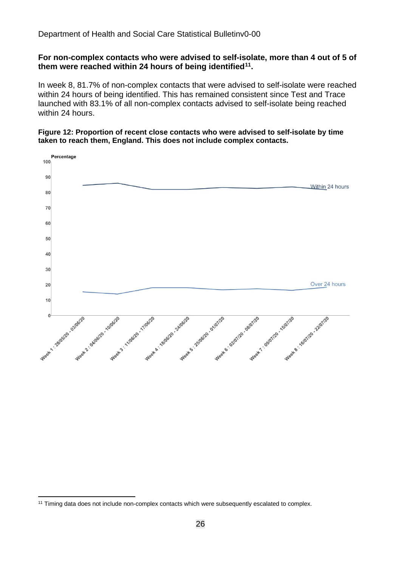#### **For non-complex contacts who were advised to self-isolate, more than 4 out of 5 of them were reached within 24 hours of being identified[11.](#page-25-0)**

In week 8, 81.7% of non-complex contacts that were advised to self-isolate were reached within 24 hours of being identified. This has remained consistent since Test and Trace launched with 83.1% of all non-complex contacts advised to self-isolate being reached within 24 hours.

#### **Figure 12: Proportion of recent close contacts who were advised to self-isolate by time taken to reach them, England. This does not include complex contacts.**



<span id="page-25-0"></span><sup>&</sup>lt;sup>11</sup> Timing data does not include non-complex contacts which were subsequently escalated to complex.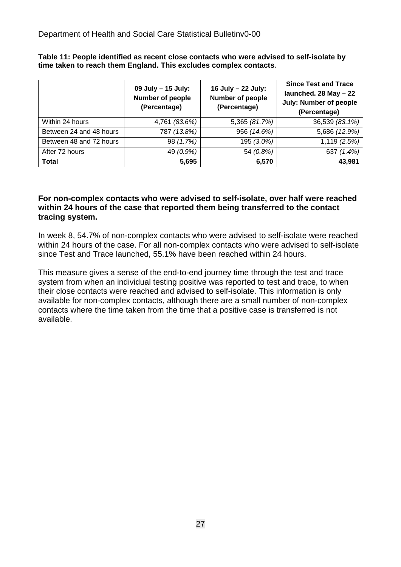**Table 11: People identified as recent close contacts who were advised to self-isolate by time taken to reach them England. This excludes complex contacts.**

|                         | 09 July - 15 July:<br>Number of people<br>(Percentage) | 16 July - 22 July:<br><b>Number of people</b><br>(Percentage) | <b>Since Test and Trace</b><br>launched. 28 May - 22<br><b>July: Number of people</b><br>(Percentage) |
|-------------------------|--------------------------------------------------------|---------------------------------------------------------------|-------------------------------------------------------------------------------------------------------|
| Within 24 hours         | 4,761 (83.6%)                                          | 5,365 (81.7%)                                                 | 36,539 (83.1%)                                                                                        |
| Between 24 and 48 hours | 787 (13.8%)                                            | 956 (14.6%)                                                   | 5,686 (12.9%)                                                                                         |
| Between 48 and 72 hours | 98 (1.7%)                                              | 195 (3.0%)                                                    | 1,119 (2.5%)                                                                                          |
| After 72 hours          | 49 (0.9%)                                              | 54 (0.8%)                                                     | 637 (1.4%)                                                                                            |
| <b>Total</b>            | 5,695                                                  | 6,570                                                         | 43,981                                                                                                |

#### **For non-complex contacts who were advised to self-isolate, over half were reached within 24 hours of the case that reported them being transferred to the contact tracing system.**

In week 8, 54.7% of non-complex contacts who were advised to self-isolate were reached within 24 hours of the case. For all non-complex contacts who were advised to self-isolate since Test and Trace launched, 55.1% have been reached within 24 hours.

This measure gives a sense of the end-to-end journey time through the test and trace system from when an individual testing positive was reported to test and trace, to when their close contacts were reached and advised to self-isolate. This information is only available for non-complex contacts, although there are a small number of non-complex contacts where the time taken from the time that a positive case is transferred is not available.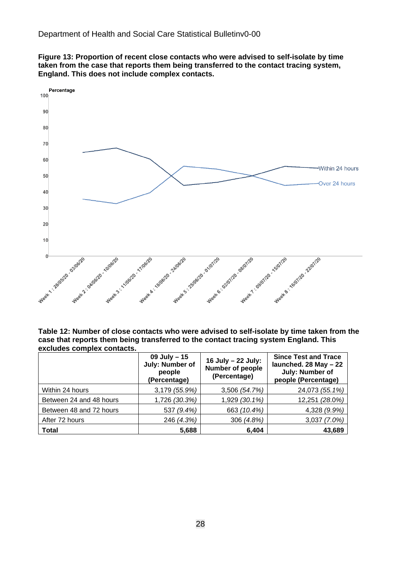**Figure 13: Proportion of recent close contacts who were advised to self-isolate by time taken from the case that reports them being transferred to the contact tracing system, England. This does not include complex contacts.**



**Table 12: Number of close contacts who were advised to self-isolate by time taken from the case that reports them being transferred to the contact tracing system England. This excludes complex contacts.**

|                         | 09 July - 15<br>July: Number of<br>people<br>(Percentage) | 16 July - 22 July:<br>Number of people<br>(Percentage) | <b>Since Test and Trace</b><br>launched. 28 May - 22<br>July: Number of<br>people (Percentage) |
|-------------------------|-----------------------------------------------------------|--------------------------------------------------------|------------------------------------------------------------------------------------------------|
| Within 24 hours         | 3,179 (55.9%)                                             | 3,506 (54.7%)                                          | 24,073 (55.1%)                                                                                 |
| Between 24 and 48 hours | 1,726 (30.3%)                                             | 1,929 (30.1%)                                          | 12,251 (28.0%)                                                                                 |
| Between 48 and 72 hours | 537 (9.4%)                                                | 663 (10.4%)                                            | 4,328 (9.9%)                                                                                   |
| After 72 hours          | 246 (4.3%)                                                | 306 (4.8%)                                             | 3,037 (7.0%)                                                                                   |
| <b>Total</b>            | 5,688                                                     | 6,404                                                  | 43,689                                                                                         |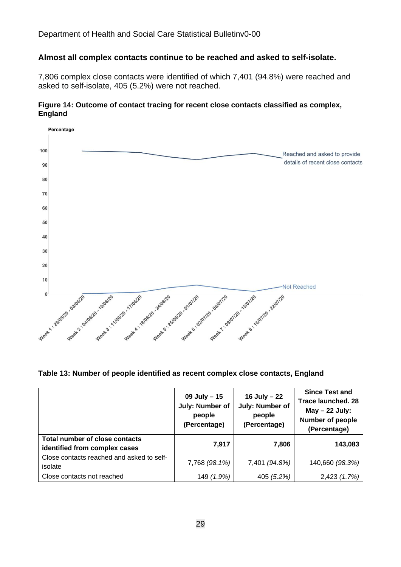#### **Almost all complex contacts continue to be reached and asked to self-isolate.**

7,806 complex close contacts were identified of which 7,401 (94.8%) were reached and asked to self-isolate, 405 (5.2%) were not reached.

#### **Figure 14: Outcome of contact tracing for recent close contacts classified as complex, England**



**Table 13: Number of people identified as recent complex close contacts, England**

|                                                                 | 09 July $-15$<br>July: Number of<br>people<br>(Percentage) | 16 July $-22$<br>July: Number of<br>people<br>(Percentage) | <b>Since Test and</b><br><b>Trace launched. 28</b><br>$May - 22 July:$<br>Number of people<br>(Percentage) |
|-----------------------------------------------------------------|------------------------------------------------------------|------------------------------------------------------------|------------------------------------------------------------------------------------------------------------|
| Total number of close contacts<br>identified from complex cases | 7,917                                                      | 7,806                                                      | 143,083                                                                                                    |
| Close contacts reached and asked to self-<br>isolate            | 7,768 (98.1%)                                              | 7,401 (94.8%)                                              | 140,660 (98.3%)                                                                                            |
| Close contacts not reached                                      | 149 (1.9%)                                                 | 405 (5.2%)                                                 | 2,423 (1.7%)                                                                                               |